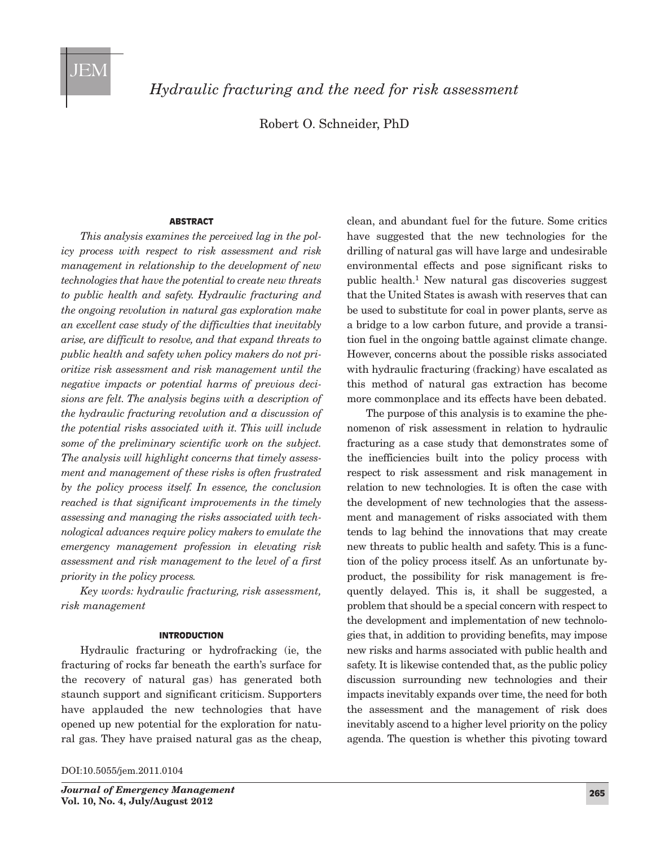

*Hydraulic fracturing and the need for risk assessment*

Robert O. Schneider, PhD

#### **ABSTRACT**

*This analysis examines the perceived lag in the policy process with respect to risk assessment and risk management in relationship to the development of new technologies that have the potential to create new threats to public health and safety. Hydraulic fracturing and the ongoing revolution in natural gas exploration make an excellent case study of the difficulties that inevitably arise, are difficult to resolve, and that expand threats to public health and safety when policy makers do not prioritize risk assessment and risk management until the negative impacts or potential harms of previous decisions are felt. The analysis begins with a description of the hydraulic fracturing revolution and a discussion of the potential risks associated with it. This will include some of the preliminary scientific work on the subject. The analysis will highlight concerns that timely assessment and management of these risks is often frustrated by the policy process itself. In essence, the conclusion reached is that significant improvements in the timely assessing and managing the risks associated with technological advances require policy makers to emulate the emergency management profession in elevating risk assessment and risk management to the level of a first priority in the policy process.*

*Key words: hydraulic fracturing, risk assessment, risk management*

### INTRODUCTION

Hydraulic fracturing or hydrofracking (ie, the fracturing of rocks far beneath the earth's surface for the recovery of natural gas) has generated both staunch support and significant criticism. Supporters have applauded the new technologies that have opened up new potential for the exploration for natural gas. They have praised natural gas as the cheap,

DOI:10.5055/jem.2011.0104

clean, and abundant fuel for the future. Some critics have suggested that the new technologies for the drilling of natural gas will have large and undesirable environmental effects and pose significant risks to public health.1 New natural gas discoveries suggest that the United States is awash with reserves that can be used to substitute for coal in power plants, serve as a bridge to a low carbon future, and provide a transition fuel in the ongoing battle against climate change. However, concerns about the possible risks associated with hydraulic fracturing (fracking) have escalated as this method of natural gas extraction has become more commonplace and its effects have been debated.

The purpose of this analysis is to examine the phenomenon of risk assessment in relation to hydraulic fracturing as a case study that demonstrates some of the inefficiencies built into the policy process with respect to risk assessment and risk management in relation to new technologies. It is often the case with the development of new technologies that the assessment and management of risks associated with them tends to lag behind the innovations that may create new threats to public health and safety. This is a function of the policy process itself. As an unfortunate byproduct, the possibility for risk management is frequently delayed. This is, it shall be suggested, a problem that should be a special concern with respect to the development and implementation of new technologies that, in addition to providing benefits, may impose new risks and harms associated with public health and safety. It is likewise contended that, as the public policy discussion surrounding new technologies and their impacts inevitably expands over time, the need for both the assessment and the management of risk does inevitably ascend to a higher level priority on the policy agenda. The question is whether this pivoting toward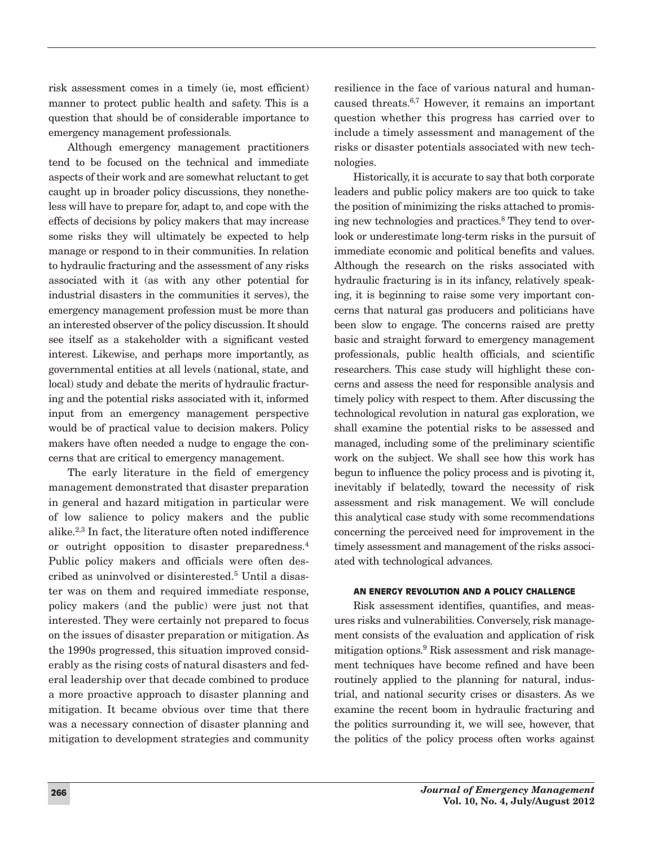risk assessment comes in a timely (ie, most efficient) manner to protect public health and safety. This is a question that should be of considerable importance to emergency management professionals.

Although emergency management practitioners tend to be focused on the technical and immediate aspects of their work and are somewhat reluctant to get caught up in broader policy discussions, they nonetheless will have to prepare for, adapt to, and cope with the effects of decisions by policy makers that may increase some risks they will ultimately be expected to help manage or respond to in their communities. In relation to hydraulic fracturing and the assessment of any risks associated with it (as with any other potential for industrial disasters in the communities it serves), the emergency management profession must be more than an interested observer of the policy discussion. It should see itself as a stakeholder with a significant vested interest. Likewise, and perhaps more importantly, as governmental entities at all levels (national, state, and local) study and debate the merits of hydraulic fracturing and the potential risks associated with it, informed input from an emergency management perspective would be of practical value to decision makers. Policy makers have often needed a nudge to engage the concerns that are critical to emergency management.

The early literature in the field of emergency management demonstrated that disaster preparation in general and hazard mitigation in particular were of low salience to policy makers and the public alike.2,3 In fact, the literature often noted indifference or outright opposition to disaster preparedness.4 Public policy makers and officials were often described as uninvolved or disinterested.5 Until a disaster was on them and required immediate response, policy makers (and the public) were just not that interested. They were certainly not prepared to focus on the issues of disaster preparation or mitigation. As the 1990s progressed, this situation improved considerably as the rising costs of natural disasters and federal leadership over that decade combined to produce a more proactive approach to disaster planning and mitigation. It became obvious over time that there was a necessary connection of disaster planning and mitigation to development strategies and community resilience in the face of various natural and humancaused threats.6,7 However, it remains an important question whether this progress has carried over to include a timely assessment and management of the risks or disaster potentials associated with new technologies.

Historically, it is accurate to say that both corporate leaders and public policy makers are too quick to take the position of minimizing the risks attached to promising new technologies and practices.8 They tend to overlook or underestimate long-term risks in the pursuit of immediate economic and political benefits and values. Although the research on the risks associated with hydraulic fracturing is in its infancy, relatively speaking, it is beginning to raise some very important concerns that natural gas producers and politicians have been slow to engage. The concerns raised are pretty basic and straight forward to emergency management professionals, public health officials, and scientific researchers. This case study will highlight these concerns and assess the need for responsible analysis and timely policy with respect to them. After discussing the technological revolution in natural gas exploration, we shall examine the potential risks to be assessed and managed, including some of the preliminary scientific work on the subject. We shall see how this work has begun to influence the policy process and is pivoting it, inevitably if belatedly, toward the necessity of risk assessment and risk management. We will conclude this analytical case study with some recommendations concerning the perceived need for improvement in the timely assessment and management of the risks associated with technological advances.

### AN ENERGY REVOLUTION AND A POLICY CHALLENGE

Risk assessment identifies, quantifies, and measures risks and vulnerabilities. Conversely, risk management consists of the evaluation and application of risk mitigation options.9 Risk assessment and risk management techniques have become refined and have been routinely applied to the planning for natural, industrial, and national security crises or disasters. As we examine the recent boom in hydraulic fracturing and the politics surrounding it, we will see, however, that the politics of the policy process often works against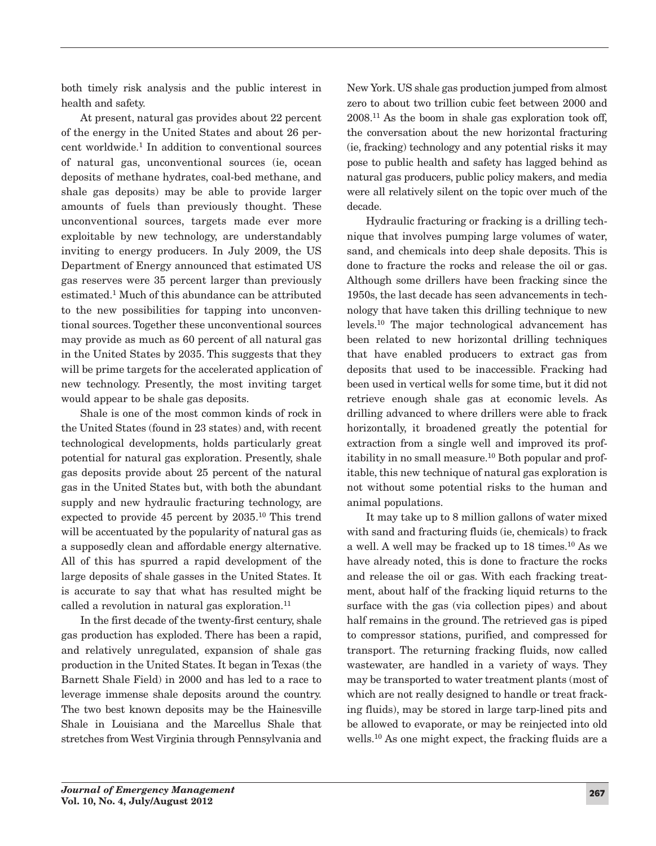both timely risk analysis and the public interest in health and safety.

At present, natural gas provides about 22 percent of the energy in the United States and about 26 percent worldwide.1 In addition to conventional sources of natural gas, unconventional sources (ie, ocean deposits of methane hydrates, coal-bed methane, and shale gas deposits) may be able to provide larger amounts of fuels than previously thought. These unconventional sources, targets made ever more exploitable by new technology, are understandably inviting to energy producers. In July 2009, the US Department of Energy announced that estimated US gas reserves were 35 percent larger than previously estimated.1 Much of this abundance can be attributed to the new possibilities for tapping into unconventional sources. Together these unconventional sources may provide as much as 60 percent of all natural gas in the United States by 2035. This suggests that they will be prime targets for the accelerated application of new technology. Presently, the most inviting target would appear to be shale gas deposits.

Shale is one of the most common kinds of rock in the United States (found in 23 states) and, with recent technological developments, holds particularly great potential for natural gas exploration. Presently, shale gas deposits provide about 25 percent of the natural gas in the United States but, with both the abundant supply and new hydraulic fracturing technology, are expected to provide 45 percent by 2035.10 This trend will be accentuated by the popularity of natural gas as a supposedly clean and affordable energy alternative. All of this has spurred a rapid development of the large deposits of shale gasses in the United States. It is accurate to say that what has resulted might be called a revolution in natural gas exploration. $^{11}$ 

In the first decade of the twenty-first century, shale gas production has exploded. There has been a rapid, and relatively unregulated, expansion of shale gas production in the United States. It began in Texas (the Barnett Shale Field) in 2000 and has led to a race to leverage immense shale deposits around the country. The two best known deposits may be the Hainesville Shale in Louisiana and the Marcellus Shale that stretches from West Virginia through Pennsylvania and New York. US shale gas production jumped from almost zero to about two trillion cubic feet between 2000 and 2008.11 As the boom in shale gas exploration took off, the conversation about the new horizontal fracturing (ie, fracking) technology and any potential risks it may pose to public health and safety has lagged behind as natural gas producers, public policy makers, and media were all relatively silent on the topic over much of the decade.

Hydraulic fracturing or fracking is a drilling technique that involves pumping large volumes of water, sand, and chemicals into deep shale deposits. This is done to fracture the rocks and release the oil or gas. Although some drillers have been fracking since the 1950s, the last decade has seen advancements in technology that have taken this drilling technique to new levels.10 The major technological advancement has been related to new horizontal drilling techniques that have enabled producers to extract gas from deposits that used to be inaccessible. Fracking had been used in vertical wells for some time, but it did not retrieve enough shale gas at economic levels. As drilling advanced to where drillers were able to frack horizontally, it broadened greatly the potential for extraction from a single well and improved its profitability in no small measure.10 Both popular and profitable, this new technique of natural gas exploration is not without some potential risks to the human and animal populations.

It may take up to 8 million gallons of water mixed with sand and fracturing fluids (ie, chemicals) to frack a well. A well may be fracked up to 18 times.10 As we have already noted, this is done to fracture the rocks and release the oil or gas. With each fracking treatment, about half of the fracking liquid returns to the surface with the gas (via collection pipes) and about half remains in the ground. The retrieved gas is piped to compressor stations, purified, and compressed for transport. The returning fracking fluids, now called wastewater, are handled in a variety of ways. They may be transported to water treatment plants (most of which are not really designed to handle or treat fracking fluids), may be stored in large tarp-lined pits and be allowed to evaporate, or may be reinjected into old wells.10 As one might expect, the fracking fluids are a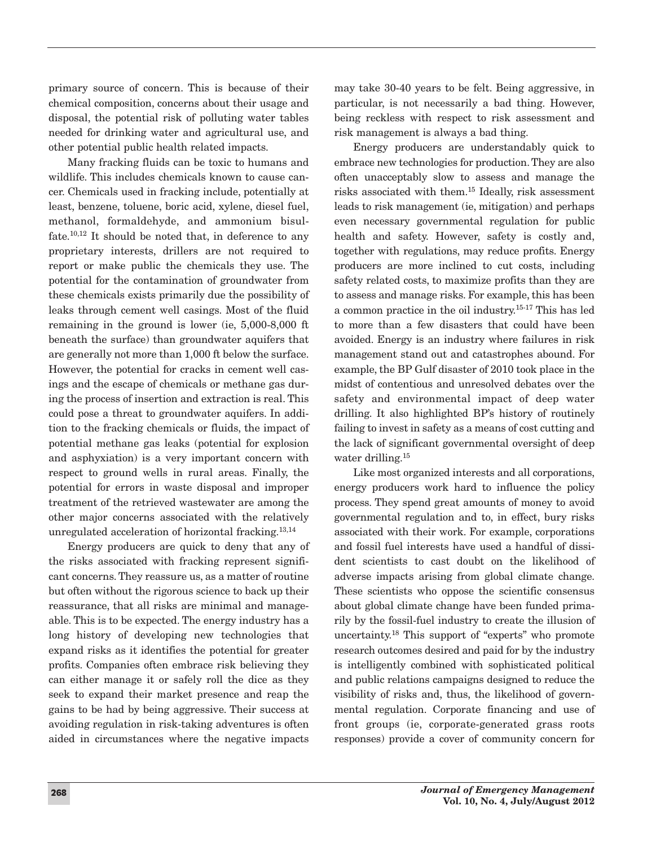primary source of concern. This is because of their chemical composition, concerns about their usage and disposal, the potential risk of polluting water tables needed for drinking water and agricultural use, and other potential public health related impacts.

Many fracking fluids can be toxic to humans and wildlife. This includes chemicals known to cause cancer. Chemicals used in fracking include, potentially at least, benzene, toluene, boric acid, xylene, diesel fuel, methanol, formaldehyde, and ammonium bisulfate.10,12 It should be noted that, in deference to any proprietary interests, drillers are not required to report or make public the chemicals they use. The potential for the contamination of groundwater from these chemicals exists primarily due the possibility of leaks through cement well casings. Most of the fluid remaining in the ground is lower (ie, 5,000-8,000 ft beneath the surface) than groundwater aquifers that are generally not more than 1,000 ft below the surface. However, the potential for cracks in cement well casings and the escape of chemicals or methane gas during the process of insertion and extraction is real. This could pose a threat to groundwater aquifers. In addition to the fracking chemicals or fluids, the impact of potential methane gas leaks (potential for explosion and asphyxiation) is a very important concern with respect to ground wells in rural areas. Finally, the potential for errors in waste disposal and improper treatment of the retrieved wastewater are among the other major concerns associated with the relatively unregulated acceleration of horizontal fracking.13,14

Energy producers are quick to deny that any of the risks associated with fracking represent significant concerns. They reassure us, as a matter of routine but often without the rigorous science to back up their reassurance, that all risks are minimal and manageable. This is to be expected. The energy industry has a long history of developing new technologies that expand risks as it identifies the potential for greater profits. Companies often embrace risk believing they can either manage it or safely roll the dice as they seek to expand their market presence and reap the gains to be had by being aggressive. Their success at avoiding regulation in risk-taking adventures is often aided in circumstances where the negative impacts

may take 30-40 years to be felt. Being aggressive, in particular, is not necessarily a bad thing. However, being reckless with respect to risk assessment and risk management is always a bad thing.

Energy producers are understandably quick to embrace new technologies for production. They are also often unacceptably slow to assess and manage the risks associated with them.15 Ideally, risk assessment leads to risk management (ie, mitigation) and perhaps even necessary governmental regulation for public health and safety. However, safety is costly and, together with regulations, may reduce profits. Energy producers are more inclined to cut costs, including safety related costs, to maximize profits than they are to assess and manage risks. For example, this has been a common practice in the oil industry.15-17 This has led to more than a few disasters that could have been avoided. Energy is an industry where failures in risk management stand out and catastrophes abound. For example, the BP Gulf disaster of 2010 took place in the midst of contentious and unresolved debates over the safety and environmental impact of deep water drilling. It also highlighted BP's history of routinely failing to invest in safety as a means of cost cutting and the lack of significant governmental oversight of deep water drilling.<sup>15</sup>

Like most organized interests and all corporations, energy producers work hard to influence the policy process. They spend great amounts of money to avoid governmental regulation and to, in effect, bury risks associated with their work. For example, corporations and fossil fuel interests have used a handful of dissident scientists to cast doubt on the likelihood of adverse impacts arising from global climate change. These scientists who oppose the scientific consensus about global climate change have been funded primarily by the fossil-fuel industry to create the illusion of uncertainty.18 This support of "experts" who promote research outcomes desired and paid for by the industry is intelligently combined with sophisticated political and public relations campaigns designed to reduce the visibility of risks and, thus, the likelihood of governmental regulation. Corporate financing and use of front groups (ie, corporate-generated grass roots responses) provide a cover of community concern for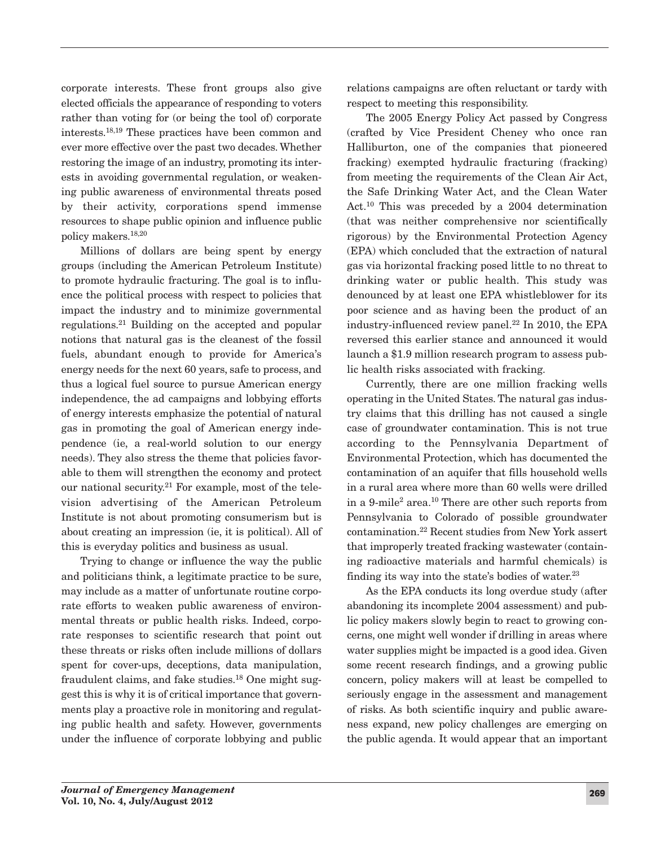corporate interests. These front groups also give elected officials the appearance of responding to voters rather than voting for (or being the tool of) corporate interests.18,19 These practices have been common and ever more effective over the past two decades. Whether restoring the image of an industry, promoting its interests in avoiding governmental regulation, or weakening public awareness of environmental threats posed by their activity, corporations spend immense resources to shape public opinion and influence public policy makers.18,20

Millions of dollars are being spent by energy groups (including the American Petroleum Institute) to promote hydraulic fracturing. The goal is to influence the political process with respect to policies that impact the industry and to minimize governmental regulations.21 Building on the accepted and popular notions that natural gas is the cleanest of the fossil fuels, abundant enough to provide for America's energy needs for the next 60 years, safe to process, and thus a logical fuel source to pursue American energy independence, the ad campaigns and lobbying efforts of energy interests emphasize the potential of natural gas in promoting the goal of American energy independence (ie, a real-world solution to our energy needs). They also stress the theme that policies favorable to them will strengthen the economy and protect our national security.<sup>21</sup> For example, most of the television advertising of the American Petroleum Institute is not about promoting consumerism but is about creating an impression (ie, it is political). All of this is everyday politics and business as usual.

Trying to change or influence the way the public and politicians think, a legitimate practice to be sure, may include as a matter of unfortunate routine corporate efforts to weaken public awareness of environmental threats or public health risks. Indeed, corporate responses to scientific research that point out these threats or risks often include millions of dollars spent for cover-ups, deceptions, data manipulation, fraudulent claims, and fake studies.18 One might suggest this is why it is of critical importance that governments play a proactive role in monitoring and regulating public health and safety. However, governments under the influence of corporate lobbying and public relations campaigns are often reluctant or tardy with respect to meeting this responsibility.

The 2005 Energy Policy Act passed by Congress (crafted by Vice President Cheney who once ran Halliburton, one of the companies that pioneered fracking) exempted hydraulic fracturing (fracking) from meeting the requirements of the Clean Air Act, the Safe Drinking Water Act, and the Clean Water Act.10 This was preceded by a 2004 determination (that was neither comprehensive nor scientifically rigorous) by the Environmental Protection Agency (EPA) which concluded that the extraction of natural gas via horizontal fracking posed little to no threat to drinking water or public health. This study was denounced by at least one EPA whistleblower for its poor science and as having been the product of an industry-influenced review panel.22 In 2010, the EPA reversed this earlier stance and announced it would launch a \$1.9 million research program to assess public health risks associated with fracking.

Currently, there are one million fracking wells operating in the United States. The natural gas industry claims that this drilling has not caused a single case of groundwater contamination. This is not true according to the Pennsylvania Department of Environmental Protection, which has documented the contamination of an aquifer that fills household wells in a rural area where more than 60 wells were drilled in a 9-mile2 area.10 There are other such reports from Pennsylvania to Colorado of possible groundwater contamination.22 Recent studies from New York assert that improperly treated fracking wastewater (containing radioactive materials and harmful chemicals) is finding its way into the state's bodies of water. $23$ 

As the EPA conducts its long overdue study (after abandoning its incomplete 2004 assessment) and public policy makers slowly begin to react to growing concerns, one might well wonder if drilling in areas where water supplies might be impacted is a good idea. Given some recent research findings, and a growing public concern, policy makers will at least be compelled to seriously engage in the assessment and management of risks. As both scientific inquiry and public awareness expand, new policy challenges are emerging on the public agenda. It would appear that an important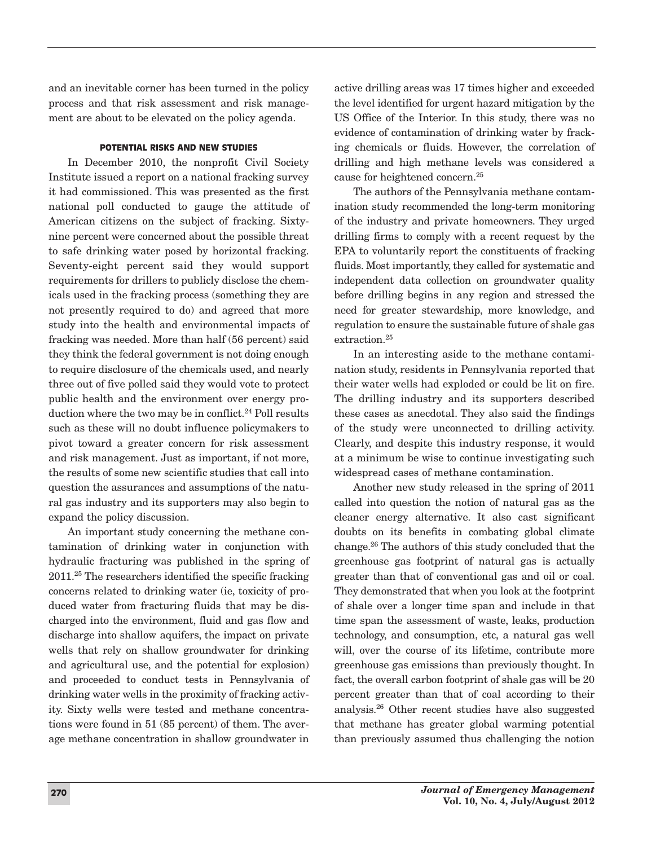and an inevitable corner has been turned in the policy process and that risk assessment and risk management are about to be elevated on the policy agenda.

# POTENTIAL RISKS AND NEW STUDIES

In December 2010, the nonprofit Civil Society Institute issued a report on a national fracking survey it had commissioned. This was presented as the first national poll conducted to gauge the attitude of American citizens on the subject of fracking. Sixtynine percent were concerned about the possible threat to safe drinking water posed by horizontal fracking. Seventy-eight percent said they would support requirements for drillers to publicly disclose the chemicals used in the fracking process (something they are not presently required to do) and agreed that more study into the health and environmental impacts of fracking was needed. More than half (56 percent) said they think the federal government is not doing enough to require disclosure of the chemicals used, and nearly three out of five polled said they would vote to protect public health and the environment over energy production where the two may be in conflict.<sup>24</sup> Poll results such as these will no doubt influence policymakers to pivot toward a greater concern for risk assessment and risk management. Just as important, if not more, the results of some new scientific studies that call into question the assurances and assumptions of the natural gas industry and its supporters may also begin to expand the policy discussion.

An important study concerning the methane contamination of drinking water in conjunction with hydraulic fracturing was published in the spring of 2011.25 The researchers identified the specific fracking concerns related to drinking water (ie, toxicity of produced water from fracturing fluids that may be discharged into the environment, fluid and gas flow and discharge into shallow aquifers, the impact on private wells that rely on shallow groundwater for drinking and agricultural use, and the potential for explosion) and proceeded to conduct tests in Pennsylvania of drinking water wells in the proximity of fracking activity. Sixty wells were tested and methane concentrations were found in 51 (85 percent) of them. The average methane concentration in shallow groundwater in

active drilling areas was 17 times higher and exceeded the level identified for urgent hazard mitigation by the US Office of the Interior. In this study, there was no evidence of contamination of drinking water by fracking chemicals or fluids. However, the correlation of drilling and high methane levels was considered a cause for heightened concern.25

The authors of the Pennsylvania methane contamination study recommended the long-term monitoring of the industry and private homeowners. They urged drilling firms to comply with a recent request by the EPA to voluntarily report the constituents of fracking fluids. Most importantly, they called for systematic and independent data collection on groundwater quality before drilling begins in any region and stressed the need for greater stewardship, more knowledge, and regulation to ensure the sustainable future of shale gas extraction.25

In an interesting aside to the methane contamination study, residents in Pennsylvania reported that their water wells had exploded or could be lit on fire. The drilling industry and its supporters described these cases as anecdotal. They also said the findings of the study were unconnected to drilling activity. Clearly, and despite this industry response, it would at a minimum be wise to continue investigating such widespread cases of methane contamination.

Another new study released in the spring of 2011 called into question the notion of natural gas as the cleaner energy alternative. It also cast significant doubts on its benefits in combating global climate change.26 The authors of this study concluded that the greenhouse gas footprint of natural gas is actually greater than that of conventional gas and oil or coal. They demonstrated that when you look at the footprint of shale over a longer time span and include in that time span the assessment of waste, leaks, production technology, and consumption, etc, a natural gas well will, over the course of its lifetime, contribute more greenhouse gas emissions than previously thought. In fact, the overall carbon footprint of shale gas will be 20 percent greater than that of coal according to their analysis.26 Other recent studies have also suggested that methane has greater global warming potential than previously assumed thus challenging the notion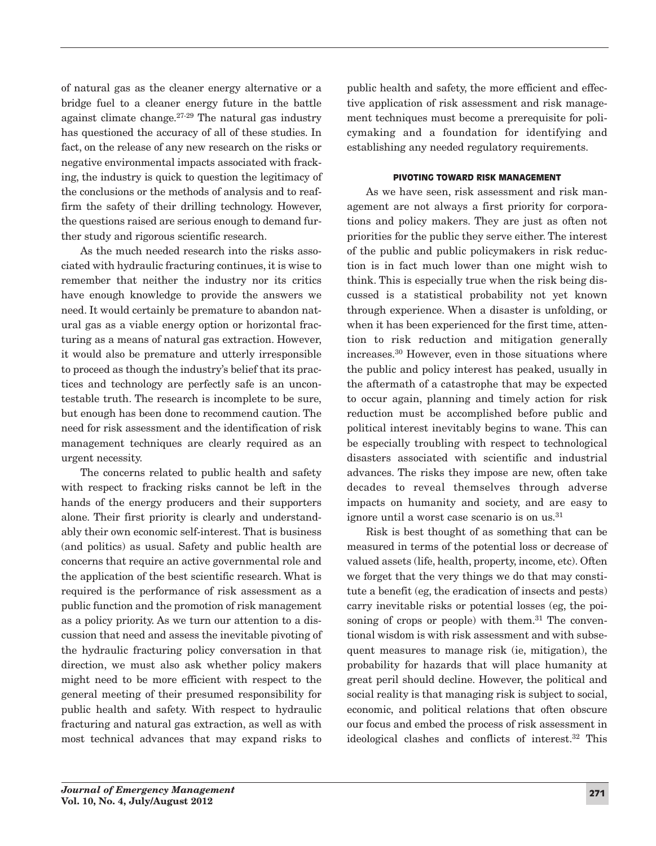of natural gas as the cleaner energy alternative or a bridge fuel to a cleaner energy future in the battle against climate change.27-29 The natural gas industry has questioned the accuracy of all of these studies. In fact, on the release of any new research on the risks or negative environmental impacts associated with fracking, the industry is quick to question the legitimacy of the conclusions or the methods of analysis and to reaffirm the safety of their drilling technology. However, the questions raised are serious enough to demand further study and rigorous scientific research.

As the much needed research into the risks associated with hydraulic fracturing continues, it is wise to remember that neither the industry nor its critics have enough knowledge to provide the answers we need. It would certainly be premature to abandon natural gas as a viable energy option or horizontal fracturing as a means of natural gas extraction. However, it would also be premature and utterly irresponsible to proceed as though the industry's belief that its practices and technology are perfectly safe is an uncontestable truth. The research is incomplete to be sure, but enough has been done to recommend caution. The need for risk assessment and the identification of risk management techniques are clearly required as an urgent necessity.

The concerns related to public health and safety with respect to fracking risks cannot be left in the hands of the energy producers and their supporters alone. Their first priority is clearly and understandably their own economic self-interest. That is business (and politics) as usual. Safety and public health are concerns that require an active governmental role and the application of the best scientific research. What is required is the performance of risk assessment as a public function and the promotion of risk management as a policy priority. As we turn our attention to a discussion that need and assess the inevitable pivoting of the hydraulic fracturing policy conversation in that direction, we must also ask whether policy makers might need to be more efficient with respect to the general meeting of their presumed responsibility for public health and safety. With respect to hydraulic fracturing and natural gas extraction, as well as with most technical advances that may expand risks to

public health and safety, the more efficient and effective application of risk assessment and risk management techniques must become a prerequisite for policymaking and a foundation for identifying and establishing any needed regulatory requirements.

# PIVOTING TOWARD RISK MANAGEMENT

As we have seen, risk assessment and risk management are not always a first priority for corporations and policy makers. They are just as often not priorities for the public they serve either. The interest of the public and public policymakers in risk reduction is in fact much lower than one might wish to think. This is especially true when the risk being discussed is a statistical probability not yet known through experience. When a disaster is unfolding, or when it has been experienced for the first time, attention to risk reduction and mitigation generally increases.30 However, even in those situations where the public and policy interest has peaked, usually in the aftermath of a catastrophe that may be expected to occur again, planning and timely action for risk reduction must be accomplished before public and political interest inevitably begins to wane. This can be especially troubling with respect to technological disasters associated with scientific and industrial advances. The risks they impose are new, often take decades to reveal themselves through adverse impacts on humanity and society, and are easy to ignore until a worst case scenario is on us.<sup>31</sup>

Risk is best thought of as something that can be measured in terms of the potential loss or decrease of valued assets (life, health, property, income, etc). Often we forget that the very things we do that may constitute a benefit (eg, the eradication of insects and pests) carry inevitable risks or potential losses (eg, the poisoning of crops or people) with them.<sup>31</sup> The conventional wisdom is with risk assessment and with subsequent measures to manage risk (ie, mitigation), the probability for hazards that will place humanity at great peril should decline. However, the political and social reality is that managing risk is subject to social, economic, and political relations that often obscure our focus and embed the process of risk assessment in ideological clashes and conflicts of interest.32 This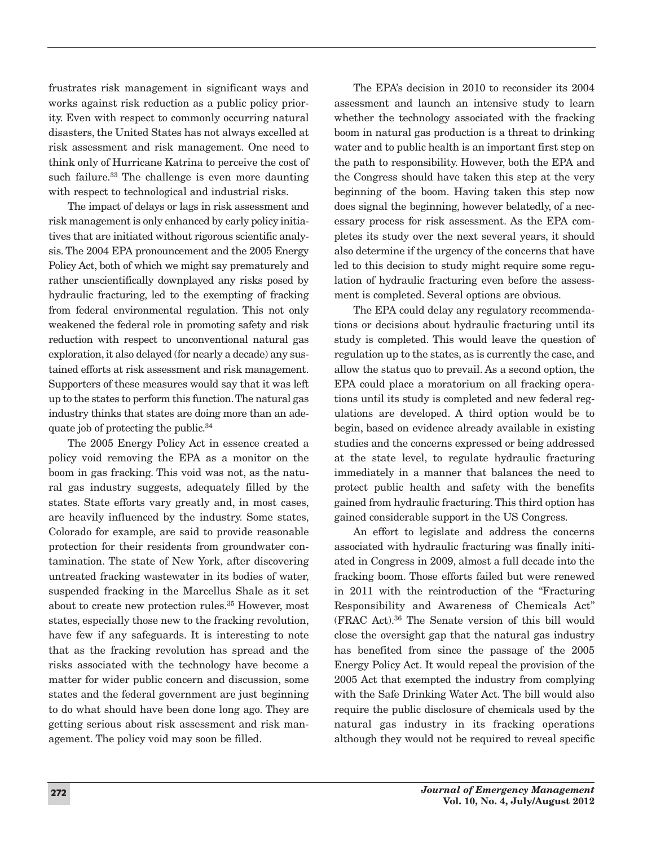frustrates risk management in significant ways and works against risk reduction as a public policy priority. Even with respect to commonly occurring natural disasters, the United States has not always excelled at risk assessment and risk management. One need to think only of Hurricane Katrina to perceive the cost of such failure.<sup>33</sup> The challenge is even more daunting with respect to technological and industrial risks.

The impact of delays or lags in risk assessment and risk management is only enhanced by early policy initiatives that are initiated without rigorous scientific analysis. The 2004 EPA pronouncement and the 2005 Energy Policy Act, both of which we might say prematurely and rather unscientifically downplayed any risks posed by hydraulic fracturing, led to the exempting of fracking from federal environmental regulation. This not only weakened the federal role in promoting safety and risk reduction with respect to unconventional natural gas exploration, it also delayed (for nearly a decade) any sustained efforts at risk assessment and risk management. Supporters of these measures would say that it was left up to the states to perform this function.The natural gas industry thinks that states are doing more than an adequate job of protecting the public.<sup>34</sup>

The 2005 Energy Policy Act in essence created a policy void removing the EPA as a monitor on the boom in gas fracking. This void was not, as the natural gas industry suggests, adequately filled by the states. State efforts vary greatly and, in most cases, are heavily influenced by the industry. Some states, Colorado for example, are said to provide reasonable protection for their residents from groundwater contamination. The state of New York, after discovering untreated fracking wastewater in its bodies of water, suspended fracking in the Marcellus Shale as it set about to create new protection rules.35 However, most states, especially those new to the fracking revolution, have few if any safeguards. It is interesting to note that as the fracking revolution has spread and the risks associated with the technology have become a matter for wider public concern and discussion, some states and the federal government are just beginning to do what should have been done long ago. They are getting serious about risk assessment and risk management. The policy void may soon be filled.

The EPA's decision in 2010 to reconsider its 2004 assessment and launch an intensive study to learn whether the technology associated with the fracking boom in natural gas production is a threat to drinking water and to public health is an important first step on the path to responsibility. However, both the EPA and the Congress should have taken this step at the very beginning of the boom. Having taken this step now does signal the beginning, however belatedly, of a necessary process for risk assessment. As the EPA completes its study over the next several years, it should also determine if the urgency of the concerns that have led to this decision to study might require some regulation of hydraulic fracturing even before the assessment is completed. Several options are obvious.

The EPA could delay any regulatory recommendations or decisions about hydraulic fracturing until its study is completed. This would leave the question of regulation up to the states, as is currently the case, and allow the status quo to prevail. As a second option, the EPA could place a moratorium on all fracking operations until its study is completed and new federal regulations are developed. A third option would be to begin, based on evidence already available in existing studies and the concerns expressed or being addressed at the state level, to regulate hydraulic fracturing immediately in a manner that balances the need to protect public health and safety with the benefits gained from hydraulic fracturing. This third option has gained considerable support in the US Congress.

An effort to legislate and address the concerns associated with hydraulic fracturing was finally initiated in Congress in 2009, almost a full decade into the fracking boom. Those efforts failed but were renewed in 2011 with the reintroduction of the "Fracturing Responsibility and Awareness of Chemicals Act" (FRAC Act).36 The Senate version of this bill would close the oversight gap that the natural gas industry has benefited from since the passage of the 2005 Energy Policy Act. It would repeal the provision of the 2005 Act that exempted the industry from complying with the Safe Drinking Water Act. The bill would also require the public disclosure of chemicals used by the natural gas industry in its fracking operations although they would not be required to reveal specific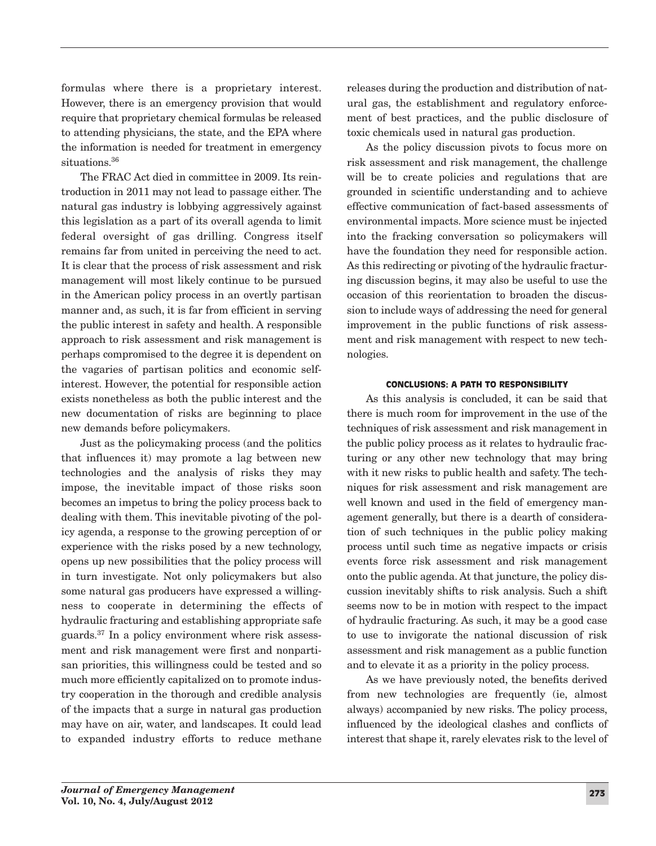formulas where there is a proprietary interest. However, there is an emergency provision that would require that proprietary chemical formulas be released to attending physicians, the state, and the EPA where the information is needed for treatment in emergency situations<sup>36</sup>

The FRAC Act died in committee in 2009. Its reintroduction in 2011 may not lead to passage either. The natural gas industry is lobbying aggressively against this legislation as a part of its overall agenda to limit federal oversight of gas drilling. Congress itself remains far from united in perceiving the need to act. It is clear that the process of risk assessment and risk management will most likely continue to be pursued in the American policy process in an overtly partisan manner and, as such, it is far from efficient in serving the public interest in safety and health. A responsible approach to risk assessment and risk management is perhaps compromised to the degree it is dependent on the vagaries of partisan politics and economic selfinterest. However, the potential for responsible action exists nonetheless as both the public interest and the new documentation of risks are beginning to place new demands before policymakers.

Just as the policymaking process (and the politics that influences it) may promote a lag between new technologies and the analysis of risks they may impose, the inevitable impact of those risks soon becomes an impetus to bring the policy process back to dealing with them. This inevitable pivoting of the policy agenda, a response to the growing perception of or experience with the risks posed by a new technology, opens up new possibilities that the policy process will in turn investigate. Not only policymakers but also some natural gas producers have expressed a willingness to cooperate in determining the effects of hydraulic fracturing and establishing appropriate safe guards.37 In a policy environment where risk assessment and risk management were first and nonpartisan priorities, this willingness could be tested and so much more efficiently capitalized on to promote industry cooperation in the thorough and credible analysis of the impacts that a surge in natural gas production may have on air, water, and landscapes. It could lead to expanded industry efforts to reduce methane

releases during the production and distribution of natural gas, the establishment and regulatory enforcement of best practices, and the public disclosure of toxic chemicals used in natural gas production.

As the policy discussion pivots to focus more on risk assessment and risk management, the challenge will be to create policies and regulations that are grounded in scientific understanding and to achieve effective communication of fact-based assessments of environmental impacts. More science must be injected into the fracking conversation so policymakers will have the foundation they need for responsible action. As this redirecting or pivoting of the hydraulic fracturing discussion begins, it may also be useful to use the occasion of this reorientation to broaden the discussion to include ways of addressing the need for general improvement in the public functions of risk assessment and risk management with respect to new technologies.

## CONCLUSIONS: A PATH TO RESPONSIBILITY

As this analysis is concluded, it can be said that there is much room for improvement in the use of the techniques of risk assessment and risk management in the public policy process as it relates to hydraulic fracturing or any other new technology that may bring with it new risks to public health and safety. The techniques for risk assessment and risk management are well known and used in the field of emergency management generally, but there is a dearth of consideration of such techniques in the public policy making process until such time as negative impacts or crisis events force risk assessment and risk management onto the public agenda. At that juncture, the policy discussion inevitably shifts to risk analysis. Such a shift seems now to be in motion with respect to the impact of hydraulic fracturing. As such, it may be a good case to use to invigorate the national discussion of risk assessment and risk management as a public function and to elevate it as a priority in the policy process.

As we have previously noted, the benefits derived from new technologies are frequently (ie, almost always) accompanied by new risks. The policy process, influenced by the ideological clashes and conflicts of interest that shape it, rarely elevates risk to the level of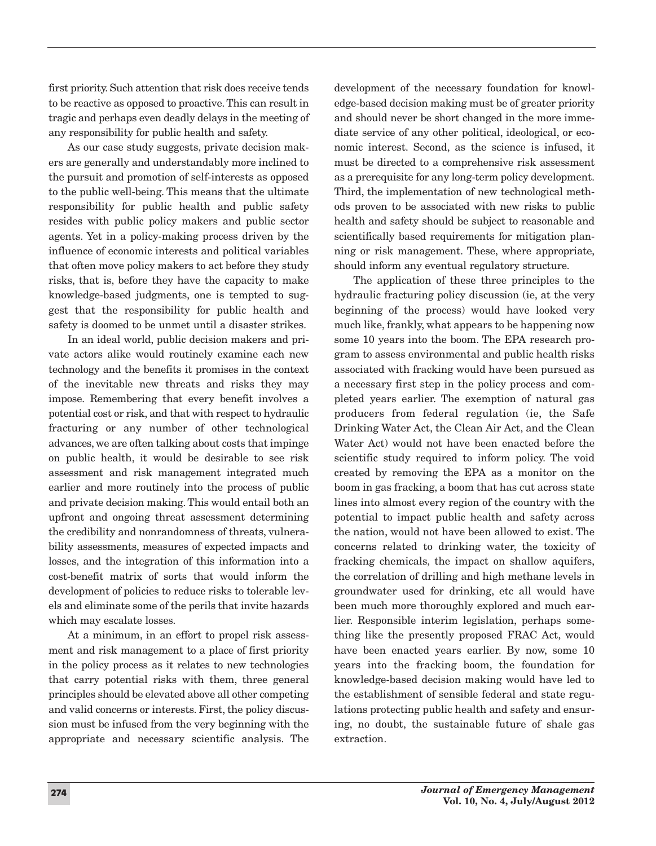first priority. Such attention that risk does receive tends to be reactive as opposed to proactive. This can result in tragic and perhaps even deadly delays in the meeting of any responsibility for public health and safety.

As our case study suggests, private decision makers are generally and understandably more inclined to the pursuit and promotion of self-interests as opposed to the public well-being. This means that the ultimate responsibility for public health and public safety resides with public policy makers and public sector agents. Yet in a policy-making process driven by the influence of economic interests and political variables that often move policy makers to act before they study risks, that is, before they have the capacity to make knowledge-based judgments, one is tempted to suggest that the responsibility for public health and safety is doomed to be unmet until a disaster strikes.

In an ideal world, public decision makers and private actors alike would routinely examine each new technology and the benefits it promises in the context of the inevitable new threats and risks they may impose. Remembering that every benefit involves a potential cost or risk, and that with respect to hydraulic fracturing or any number of other technological advances, we are often talking about costs that impinge on public health, it would be desirable to see risk assessment and risk management integrated much earlier and more routinely into the process of public and private decision making. This would entail both an upfront and ongoing threat assessment determining the credibility and nonrandomness of threats, vulnerability assessments, measures of expected impacts and losses, and the integration of this information into a cost-benefit matrix of sorts that would inform the development of policies to reduce risks to tolerable levels and eliminate some of the perils that invite hazards which may escalate losses.

At a minimum, in an effort to propel risk assessment and risk management to a place of first priority in the policy process as it relates to new technologies that carry potential risks with them, three general principles should be elevated above all other competing and valid concerns or interests. First, the policy discussion must be infused from the very beginning with the appropriate and necessary scientific analysis. The

development of the necessary foundation for knowledge-based decision making must be of greater priority and should never be short changed in the more immediate service of any other political, ideological, or economic interest. Second, as the science is infused, it must be directed to a comprehensive risk assessment as a prerequisite for any long-term policy development. Third, the implementation of new technological methods proven to be associated with new risks to public health and safety should be subject to reasonable and scientifically based requirements for mitigation planning or risk management. These, where appropriate, should inform any eventual regulatory structure.

The application of these three principles to the hydraulic fracturing policy discussion (ie, at the very beginning of the process) would have looked very much like, frankly, what appears to be happening now some 10 years into the boom. The EPA research program to assess environmental and public health risks associated with fracking would have been pursued as a necessary first step in the policy process and completed years earlier. The exemption of natural gas producers from federal regulation (ie, the Safe Drinking Water Act, the Clean Air Act, and the Clean Water Act) would not have been enacted before the scientific study required to inform policy. The void created by removing the EPA as a monitor on the boom in gas fracking, a boom that has cut across state lines into almost every region of the country with the potential to impact public health and safety across the nation, would not have been allowed to exist. The concerns related to drinking water, the toxicity of fracking chemicals, the impact on shallow aquifers, the correlation of drilling and high methane levels in groundwater used for drinking, etc all would have been much more thoroughly explored and much earlier. Responsible interim legislation, perhaps something like the presently proposed FRAC Act, would have been enacted years earlier. By now, some 10 years into the fracking boom, the foundation for knowledge-based decision making would have led to the establishment of sensible federal and state regulations protecting public health and safety and ensuring, no doubt, the sustainable future of shale gas extraction.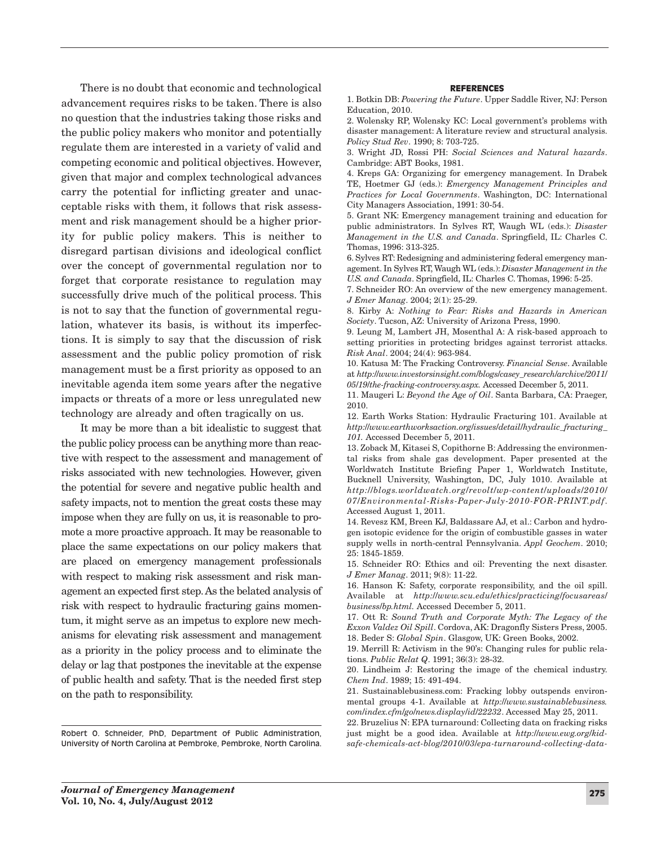There is no doubt that economic and technological advancement requires risks to be taken. There is also no question that the industries taking those risks and the public policy makers who monitor and potentially regulate them are interested in a variety of valid and competing economic and political objectives. However, given that major and complex technological advances carry the potential for inflicting greater and unacceptable risks with them, it follows that risk assessment and risk management should be a higher priority for public policy makers. This is neither to disregard partisan divisions and ideological conflict over the concept of governmental regulation nor to forget that corporate resistance to regulation may successfully drive much of the political process. This is not to say that the function of governmental regulation, whatever its basis, is without its imperfections. It is simply to say that the discussion of risk assessment and the public policy promotion of risk management must be a first priority as opposed to an inevitable agenda item some years after the negative impacts or threats of a more or less unregulated new technology are already and often tragically on us.

It may be more than a bit idealistic to suggest that the public policy process can be anything more than reactive with respect to the assessment and management of risks associated with new technologies. However, given the potential for severe and negative public health and safety impacts, not to mention the great costs these may impose when they are fully on us, it is reasonable to promote a more proactive approach. It may be reasonable to place the same expectations on our policy makers that are placed on emergency management professionals with respect to making risk assessment and risk management an expected first step.As the belated analysis of risk with respect to hydraulic fracturing gains momentum, it might serve as an impetus to explore new mechanisms for elevating risk assessment and management as a priority in the policy process and to eliminate the delay or lag that postpones the inevitable at the expense of public health and safety. That is the needed first step on the path to responsibility.

Robert O. Schneider, PhD, Department of Public Administration, University of North Carolina at Pembroke, Pembroke, North Carolina.

#### REFERENCES

1. Botkin DB: *Powering the Future*. Upper Saddle River, NJ: Person Education, 2010.

2. Wolensky RP, Wolensky KC: Local government's problems with disaster management: A literature review and structural analysis. *Policy Stud Rev*. 1990; 8: 703-725.

3. Wright JD, Rossi PH: *Social Sciences and Natural hazards*. Cambridge: ABT Books, 1981.

4. Kreps GA: Organizing for emergency management. In Drabek TE, Hoetmer GJ (eds.): *Emergency Management Principles and Practices for Local Governments*. Washington, DC: International City Managers Association, 1991: 30-54.

5. Grant NK: Emergency management training and education for public administrators. In Sylves RT, Waugh WL (eds.): *Disaster Management in the U.S. and Canada*. Springfield, IL: Charles C. Thomas, 1996: 313-325.

6. Sylves RT: Redesigning and administering federal emergency management. In Sylves RT, Waugh WL (eds.): *Disaster Management in the U.S. and Canada*. Springfield, IL: Charles C. Thomas, 1996: 5-25.

7. Schneider RO: An overview of the new emergency management. *J Emer Manag*. 2004; 2(1): 25-29.

8. Kirby A: *Nothing to Fear: Risks and Hazards in American Society*. Tucson, AZ: University of Arizona Press, 1990.

9. Leung M, Lambert JH, Mosenthal A: A risk-based approach to setting priorities in protecting bridges against terrorist attacks. *Risk Anal*. 2004; 24(4): 963-984.

10. Katusa M: The Fracking Controversy. *Financial Sense*. Available at *http:*//*www.investorsinsight.com*/*blogs*/*casey\_research*/*archive*/*2011*/ *05*/*19*/*the-fracking-controversy.aspx.* Accessed December 5, 2011.

11. Maugeri L: *Beyond the Age of Oil*. Santa Barbara, CA: Praeger, 2010.

12. Earth Works Station: Hydraulic Fracturing 101. Available at *http:*//*www.earthworksaction.org*/*issues*/*detail*/*hydraulic\_fracturing\_ 101.* Accessed December 5, 2011.

13. Zoback M, Kitasei S, Copithorne B: Addressing the environmental risks from shale gas development. Paper presented at the Worldwatch Institute Briefing Paper 1, Worldwatch Institute, Bucknell University, Washington, DC, July 1010. Available at *http:*//*blogs.worldwatch.org*/*revolt*/*wp-content*/*uploads*/*2010*/ *07*/*Environmental-Risks-Paper-July-2010-FOR-PRINT.pdf*. Accessed August 1, 2011.

14. Revesz KM, Breen KJ, Baldassare AJ, et al.: Carbon and hydrogen isotopic evidence for the origin of combustible gasses in water supply wells in north-central Pennsylvania. *Appl Geochem*. 2010; 25: 1845-1859.

15. Schneider RO: Ethics and oil: Preventing the next disaster. *J Emer Manag*. 2011; 9(8): 11-22.

16. Hanson K: Safety, corporate responsibility, and the oil spill. Available at *http:*//*www.scu.edu*/*ethics*/*practicing*/*focusareas*/ *business*/*bp.html.* Accessed December 5, 2011.

17. Ott R: *Sound Truth and Corporate Myth: The Legacy of the Exxon Valdez Oil Spill*. Cordova, AK: Dragonfly Sisters Press, 2005. 18. Beder S: *Global Spin*. Glasgow, UK: Green Books, 2002.

19. Merrill R: Activism in the 90's: Changing rules for public relations. *Public Relat Q*. 1991; 36(3): 28-32.

20. Lindheim J: Restoring the image of the chemical industry. *Chem Ind*. 1989; 15: 491-494.

21. Sustainablebusiness.com: Fracking lobby outspends environmental groups 4-1. Available at *http:*//*www.sustainablebusiness. com*/*index.cfm*/*go*/*news.display*/*id*/*22232*. Accessed May 25, 2011.

22. Bruzelius N: EPA turnaround: Collecting data on fracking risks just might be a good idea. Available at *http:*//*www.ewg.org*/*kidsafe-chemicals-act-blog*/*2010*/*03*/*epa-turnaround-collecting-data-*